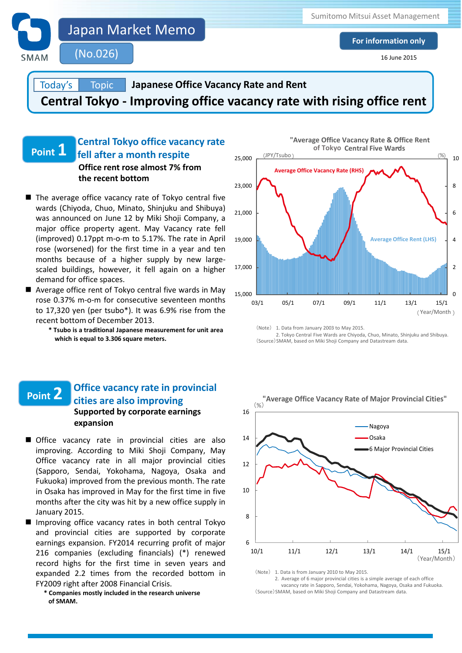

Today's **Topic**  **Japanese Office Vacancy Rate and Rent**

**Central Tokyo - Improving office vacancy rate with rising office rent**

### **Central Tokyo office vacancy rate fell after a month respite Point 1 Office rent rose almost 7% from the recent bottom**

- $\blacksquare$  The average office vacancy rate of Tokyo central five wards (Chiyoda, Chuo, Minato, Shinjuku and Shibuya) was announced on June 12 by Miki Shoji Company, a major office property agent. May Vacancy rate fell (improved) 0.17ppt m-o-m to 5.17%. The rate in April rose (worsened) for the first time in a year and ten months because of a higher supply by new largescaled buildings, however, it fell again on a higher demand for office spaces.
- Average office rent of Tokyo central five wards in Mav rose 0.37% m-o-m for consecutive seventeen months to 17,320 yen (per tsubo\*). It was 6.9% rise from the recent bottom of December 2013.
	- **\* Tsubo is a traditional Japanese measurement for unit area which is equal to 3.306 square meters.**

## **Point 2 Supported by corporate earnings expansion Office vacancy rate in provincial cities are also improving**

- Office vacancy rate in provincial cities are also improving. According to Miki Shoji Company, May Office vacancy rate in all major provincial cities (Sapporo, Sendai, Yokohama, Nagoya, Osaka and Fukuoka) improved from the previous month. The rate in Osaka has improved in May for the first time in five months after the city was hit by a new office supply in January 2015.
- **EYZOO9 right after 2008 Financial Crisis.** The Same of the Macancy rate in Sapporo, Sendai, Yokohama, Nagoya, Osaka and Fukuoka. Improving office vacancy rates in both central Tokyo and provincial cities are supported by corporate earnings expansion. FY2014 recurring profit of major 216 companies (excluding financials) (\*) renewed record highs for the first time in seven years and expanded 2.2 times from the recorded bottom in FY2009 right after 2008 Financial Crisis.
- **\* Companies mostly included in the research universe** (Source) SMAM, based on Miki Shoji Company and Datastream data.  $\alpha$  SMAM **of SMAM.**



(Note) 1. Data from January 2003 to May 2015.

 2. Tokyo Central Five Wards are Chiyoda, Chuo, Minato, Shinjuku and Shibuya. (Source)SMAM, based on Miki Shoji Company and Datastream data.

**"Average Office Vacancy Rate of Major Provincial Cities"**



 2. Average of 6 major provincial cities is a simple average of each office (Source)SMAM, based on Miki Shoji Company and Datastream data.